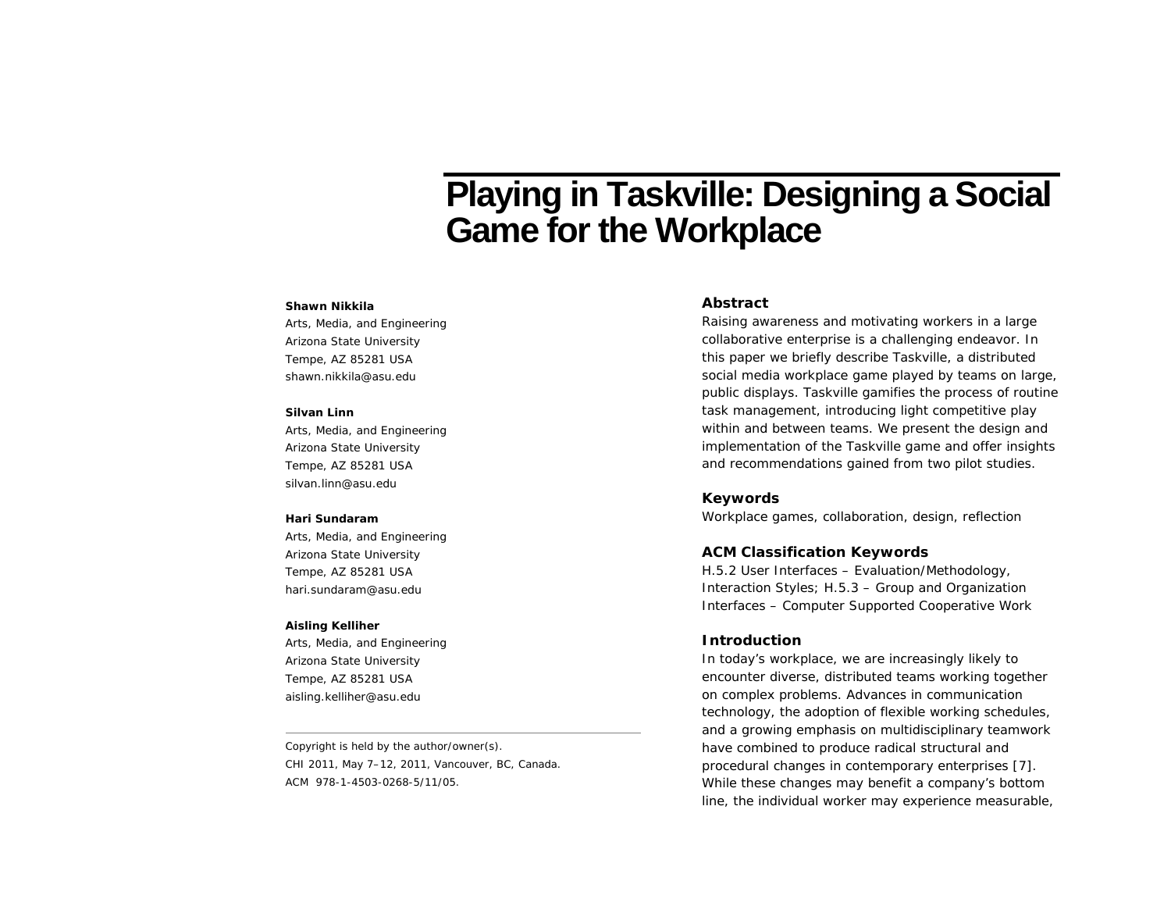# **Playing in Taskville: Designing a Social Game for the Workplace**

#### **Shawn Nikkila**

Arts, Media, and Engineering Arizona State University Tempe, AZ 85281 USA shawn.nikkila@asu.edu

#### **Silvan Linn**

Arts, Media, and Engineering Arizona State University Tempe, AZ 85281 USA silvan.linn@asu.edu

## **Hari Sundaram**

Arts, Media, and Engineering Arizona State University Tempe, AZ 85281 USA hari.sundaram@asu.edu

### **Aisling Kelliher**

Arts, Media, and Engineering Arizona State University Tempe, AZ 85281 USA aisling.kelliher@asu.edu

Copyright is held by the author/owner(s). *CHI 2011*, May 7–12, 2011, Vancouver, BC, Canada. ACM 978-1-4503-0268-5/11/05.

# **Abstract**

Raising awareness and motivating workers in a large collaborative enterprise is a challenging endeavor. In this paper we briefly describe *Taskville*, a distributed social media workplace game played by teams on large, public displays. Taskville gamifies the process of routine task management, introducing light competitive play within and between teams. We present the design and implementation of the Taskville game and offer insights and recommendations gained from two pilot studies.

## **Keywords**

Workplace games, collaboration, design, reflection

## **ACM Classification Keywords**

H.5.2 User Interfaces – Evaluation/Methodology, Interaction Styles; H.5.3 – Group and Organization Interfaces – Computer Supported Cooperative Work

## **Introduction**

In today's workplace, we are increasingly likely to encounter diverse, distributed teams working together on complex problems. Advances in communication technology, the adoption of flexible working schedules, and a growing emphasis on multidisciplinary teamwork have combined to produce radical structural and procedural changes in contemporary enterprises [7]. While these changes may benefit a company's bottom line, the individual worker may experience measurable,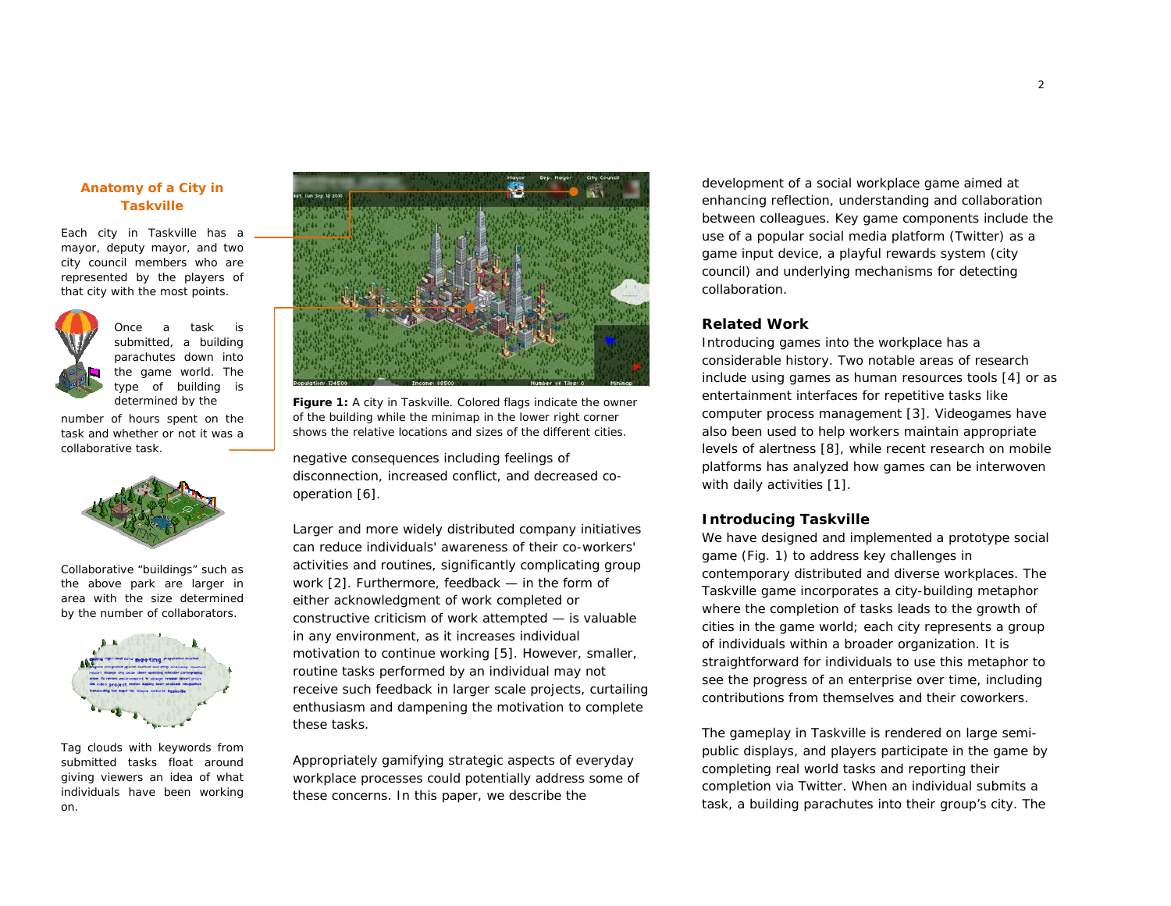## **Anatomy of a City in Taskville**

Each city in Taskville has a mayor, deputy mayor, and two city council members who are represented by the players of that city with the most points.



Once a task is submitted, a building parachutes down into the game world. The type of building is determined by the

number of hours spent on the task and whether or not it was a collaborative task.



Collaborative "buildings" such as the above park are larger in area with the size determined by the number of collaborators.



Tag clouds with keywords from submitted tasks float around giving viewers an idea of what individuals have been working on.



**Figure 1:** A city in Taskville. Colored flags indicate the owner of the building while the minimap in the lower right corner shows the relative locations and sizes of the different cities.

negative consequences including feelings of disconnection, increased conflict, and decreased cooperation [6].

Larger and more widely distributed company initiatives can reduce individuals' awareness of their co-workers' activities and routines, significantly complicating group work [2]. Furthermore, feedback — in the form of either acknowledgment of work completed or constructive criticism of work attempted — is valuable in any environment, as it increases individual motivation to continue working [5]. However, smaller, routine tasks performed by an individual may not receive such feedback in larger scale projects, curtailing enthusiasm and dampening the motivation to complete these tasks.

Appropriately gamifying strategic aspects of everyday workplace processes could potentially address some of these concerns. In this paper, we describe the

development of a social workplace game aimed at enhancing reflection, understanding and collaboration between colleagues. Key game components include the use of a popular social media platform (Twitter) as a game input device, a playful rewards system (city council) and underlying mechanisms for detecting collaboration.

# **Related Work**

Introducing games into the workplace has a considerable history. Two notable areas of research include using games as human resources tools [4] or as entertainment interfaces for repetitive tasks like computer process management [3]. Videogames have also been used to help workers maintain appropriate levels of alertness [8], while recent research on mobile platforms has analyzed how games can be interwoven with daily activities [1].

## **Introducing Taskville**

We have designed and implemented a prototype social game (Fig. 1) to address key challenges in contemporary distributed and diverse workplaces. The Taskville game incorporates a city-building metaphor where the completion of tasks leads to the growth of cities in the game world; each city represents a group of individuals within a broader organization. It is straightforward for individuals to use this metaphor to see the progress of an enterprise over time, including contributions from themselves and their coworkers.

The gameplay in Taskville is rendered on large semipublic displays, and players participate in the game by completing real world tasks and reporting their completion via Twitter. When an individual submits a task, a building parachutes into their group's city. The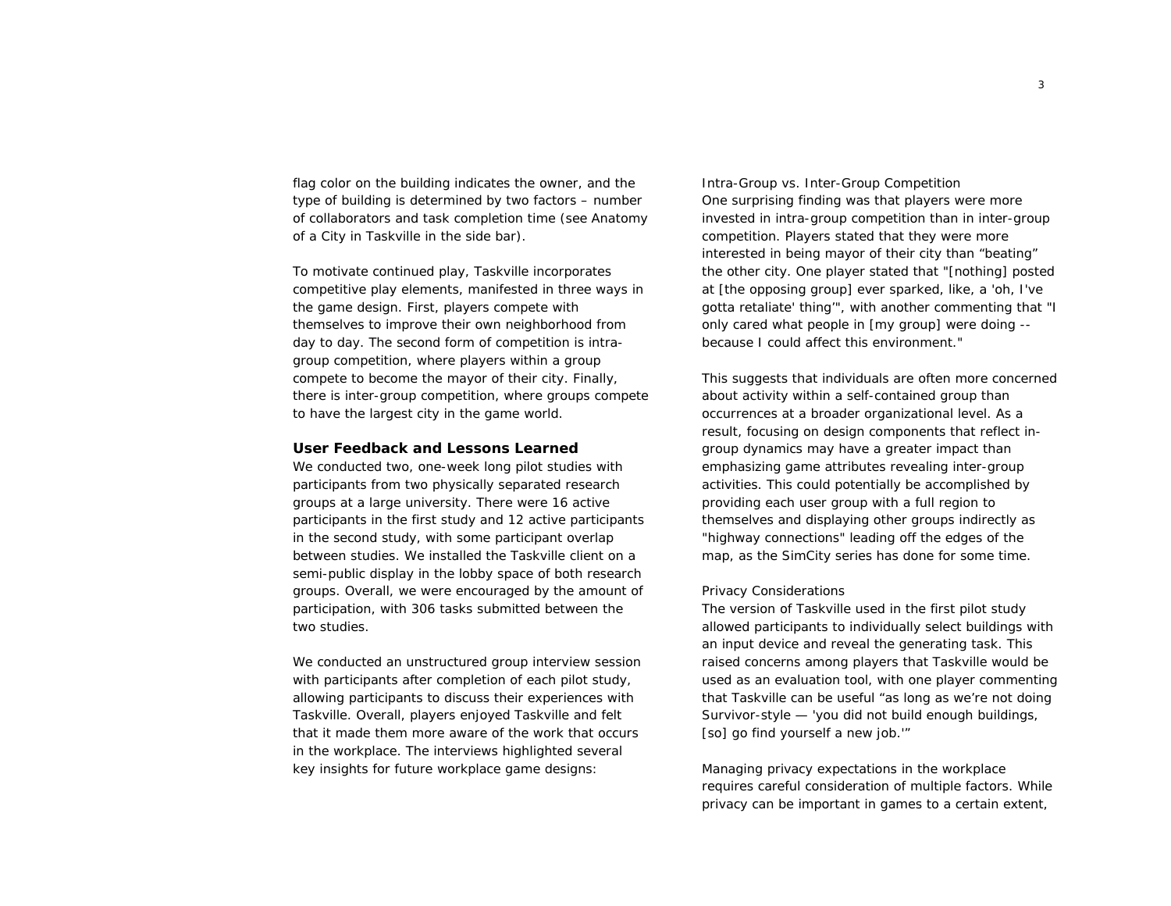flag color on the building indicates the owner, and the type of building is determined by two factors – number of collaborators and task completion time (see *Anatomy*  of a City in Taskville in the side bar).

To motivate continued play, Taskville incorporates competitive play elements, manifested in three ways in the game design. First, players compete with themselves to improve their own neighborhood from day to day. The second form of competition is intragroup competition, where players within a group compete to become the mayor of their city. Finally, there is inter-group competition, where groups compete to have the largest city in the game world.

#### **User Feedback and Lessons Learned**

We conducted two, one-week long pilot studies with participants from two physically separated research groups at a large university. There were 16 active participants in the first study and 12 active participants in the second study, with some participant overlap between studies. We installed the Taskville client on a semi-public display in the lobby space of both research groups. Overall, we were encouraged by the amount of participation, with 306 tasks submitted between the two studies.

We conducted an unstructured group interview session with participants after completion of each pilot study, allowing participants to discuss their experiences with Taskville. Overall, players enjoyed Taskville and felt that it made them more aware of the work that occurs in the workplace. The interviews highlighted several key insights for future workplace game designs:

*Intra-Group vs. Inter-Group Competition*  One surprising finding was that players were more invested in *intra*-group competition than in *inter*-group competition. Players stated that they were more interested in being mayor of their city than "beating" the other city. One player stated that "[nothing] posted at [the opposing group] ever sparked, like, a 'oh, I've gotta retaliate' thing'", with another commenting that "I only cared what people in [my group] were doing - because I could affect this environment."

This suggests that individuals are often more concerned about activity within a self-contained group than occurrences at a broader organizational level. As a result, focusing on design components that reflect ingroup dynamics may have a greater impact than emphasizing game attributes revealing inter-group activities. This could potentially be accomplished by providing each user group with a full region to themselves and displaying other groups indirectly as "highway connections" leading off the edges of the map, as the SimCity series has done for some time.

### *Privacy Considerations*

The version of Taskville used in the first pilot study allowed participants to individually select buildings with an input device and reveal the generating task. This raised concerns among players that Taskville would be used as an evaluation tool, with one player commenting that Taskville can be useful "as long as we're not doing Survivor-style — 'you did not build enough buildings, [so] go find yourself a new job.'"

Managing privacy expectations in the workplace requires careful consideration of multiple factors. While privacy can be important in games to a certain extent,